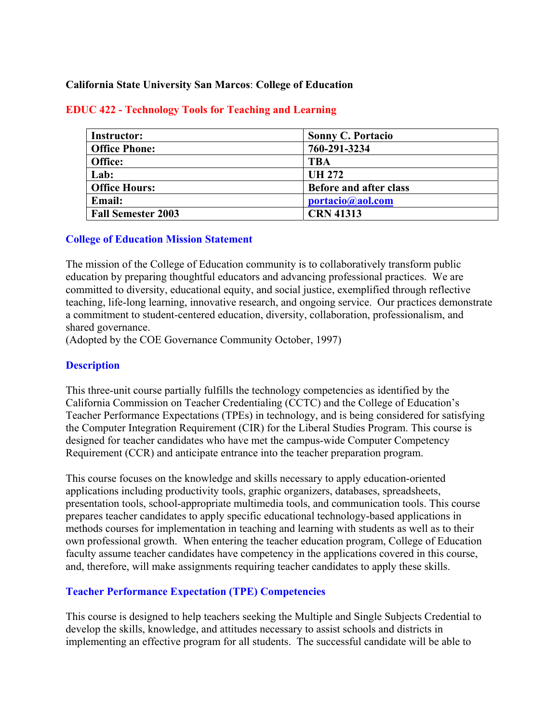#### **California State University San Marcos**: **College of Education**

| <b>Instructor:</b>        | <b>Sonny C. Portacio</b>      |  |
|---------------------------|-------------------------------|--|
| <b>Office Phone:</b>      | 760-291-3234                  |  |
| Office:                   | <b>TBA</b>                    |  |
| Lab:                      | <b>UH 272</b>                 |  |
| <b>Office Hours:</b>      | <b>Before and after class</b> |  |
| <b>Email:</b>             | portacio@aol.com              |  |
| <b>Fall Semester 2003</b> | <b>CRN 41313</b>              |  |

#### **EDUC 422 - Technology Tools for Teaching and Learning**

#### **College of Education Mission Statement**

The mission of the College of Education community is to collaboratively transform public education by preparing thoughtful educators and advancing professional practices. We are committed to diversity, educational equity, and social justice, exemplified through reflective teaching, life-long learning, innovative research, and ongoing service. Our practices demonstrate a commitment to student-centered education, diversity, collaboration, professionalism, and shared governance.

(Adopted by the COE Governance Community October, 1997)

#### **Description**

This three-unit course partially fulfills the technology competencies as identified by the California Commission on Teacher Credentialing (CCTC) and the College of Education's Teacher Performance Expectations (TPEs) in technology, and is being considered for satisfying the Computer Integration Requirement (CIR) for the Liberal Studies Program. This course is designed for teacher candidates who have met the campus-wide Computer Competency Requirement (CCR) and anticipate entrance into the teacher preparation program.

This course focuses on the knowledge and skills necessary to apply education-oriented applications including productivity tools, graphic organizers, databases, spreadsheets, presentation tools, school-appropriate multimedia tools, and communication tools. This course prepares teacher candidates to apply specific educational technology-based applications in methods courses for implementation in teaching and learning with students as well as to their own professional growth. When entering the teacher education program, College of Education faculty assume teacher candidates have competency in the applications covered in this course, and, therefore, will make assignments requiring teacher candidates to apply these skills.

## **Teacher Performance Expectation (TPE) Competencies**

This course is designed to help teachers seeking the Multiple and Single Subjects Credential to develop the skills, knowledge, and attitudes necessary to assist schools and districts in implementing an effective program for all students. The successful candidate will be able to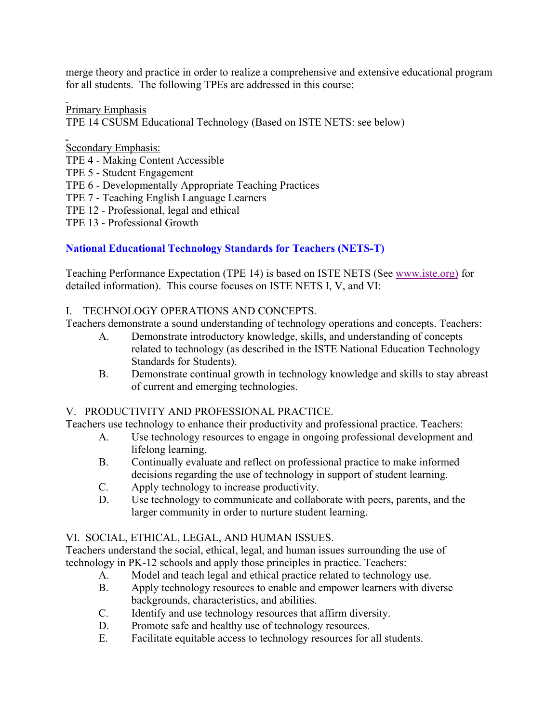merge theory and practice in order to realize a comprehensive and extensive educational program for all students. The following TPEs are addressed in this course:

Primary Emphasis TPE 14 CSUSM Educational Technology (Based on ISTE NETS: see below)

## Secondary Emphasis: TPE 4 - Making Content Accessible TPE 5 - Student Engagement TPE 6 - Developmentally Appropriate Teaching Practices TPE 7 - Teaching English Language Learners TPE 12 - Professional, legal and ethical

TPE 13 - Professional Growth

# **National Educational Technology Standards for Teachers (NETS-T)**

Teaching Performance Expectation (TPE 14) is based on ISTE NETS (See www.iste.org) for detailed information). This course focuses on ISTE NETS I, V, and VI:

## I. TECHNOLOGY OPERATIONS AND CONCEPTS.

Teachers demonstrate a sound understanding of technology operations and concepts. Teachers:

- A. Demonstrate introductory knowledge, skills, and understanding of concepts related to technology (as described in the ISTE National Education Technology Standards for Students).
- B. Demonstrate continual growth in technology knowledge and skills to stay abreast of current and emerging technologies.

## V. PRODUCTIVITY AND PROFESSIONAL PRACTICE.

Teachers use technology to enhance their productivity and professional practice. Teachers:

- A. Use technology resources to engage in ongoing professional development and lifelong learning.
- B. Continually evaluate and reflect on professional practice to make informed decisions regarding the use of technology in support of student learning.
- C. Apply technology to increase productivity.
- D. Use technology to communicate and collaborate with peers, parents, and the larger community in order to nurture student learning.

## VI. SOCIAL, ETHICAL, LEGAL, AND HUMAN ISSUES.

Teachers understand the social, ethical, legal, and human issues surrounding the use of technology in PK-12 schools and apply those principles in practice. Teachers:

- A. Model and teach legal and ethical practice related to technology use.
- B. Apply technology resources to enable and empower learners with diverse backgrounds, characteristics, and abilities.
- C. Identify and use technology resources that affirm diversity.
- D. Promote safe and healthy use of technology resources.
- E. Facilitate equitable access to technology resources for all students.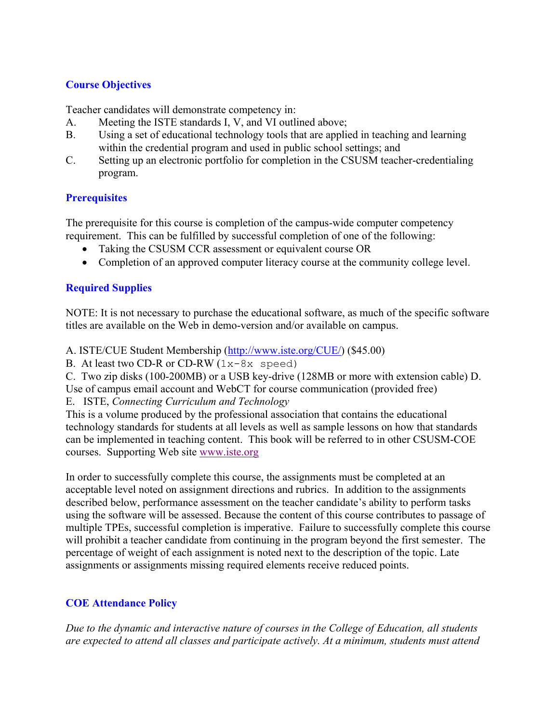## **Course Objectives**

Teacher candidates will demonstrate competency in:

- A. Meeting the ISTE standards I, V, and VI outlined above;
- B. Using a set of educational technology tools that are applied in teaching and learning within the credential program and used in public school settings; and
- C. Setting up an electronic portfolio for completion in the CSUSM teacher-credentialing program.

## **Prerequisites**

The prerequisite for this course is completion of the campus-wide computer competency requirement. This can be fulfilled by successful completion of one of the following:

- Taking the CSUSM CCR assessment or equivalent course OR
- Completion of an approved computer literacy course at the community college level.

## **Required Supplies**

NOTE: It is not necessary to purchase the educational software, as much of the specific software titles are available on the Web in demo-version and/or available on campus.

A. ISTE/CUE Student Membership (http://www.iste.org/CUE/) (\$45.00)

B. At least two CD-R or CD-RW  $(1x-8x$  speed)

C. Two zip disks (100-200MB) or a USB key-drive (128MB or more with extension cable) D.

Use of campus email account and WebCT for course communication (provided free)

E. ISTE, *Connecting Curriculum and Technology*

This is a volume produced by the professional association that contains the educational technology standards for students at all levels as well as sample lessons on how that standards can be implemented in teaching content. This book will be referred to in other CSUSM-COE courses. Supporting Web site www.iste.org

In order to successfully complete this course, the assignments must be completed at an acceptable level noted on assignment directions and rubrics. In addition to the assignments described below, performance assessment on the teacher candidate's ability to perform tasks using the software will be assessed. Because the content of this course contributes to passage of multiple TPEs, successful completion is imperative. Failure to successfully complete this course will prohibit a teacher candidate from continuing in the program beyond the first semester. The percentage of weight of each assignment is noted next to the description of the topic. Late assignments or assignments missing required elements receive reduced points.

## **COE Attendance Policy**

*Due to the dynamic and interactive nature of courses in the College of Education, all students are expected to attend all classes and participate actively. At a minimum, students must attend*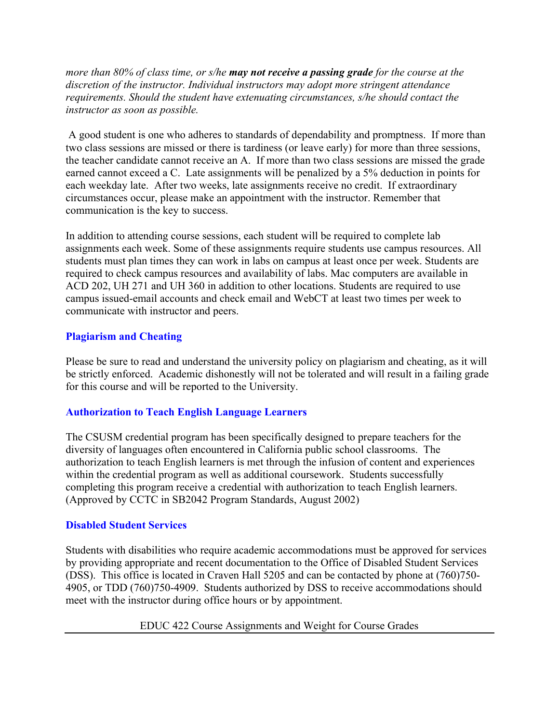*more than 80% of class time, or s/he may not receive a passing grade for the course at the discretion of the instructor. Individual instructors may adopt more stringent attendance requirements. Should the student have extenuating circumstances, s/he should contact the instructor as soon as possible.*

 A good student is one who adheres to standards of dependability and promptness. If more than two class sessions are missed or there is tardiness (or leave early) for more than three sessions, the teacher candidate cannot receive an A. If more than two class sessions are missed the grade earned cannot exceed a C. Late assignments will be penalized by a 5% deduction in points for each weekday late. After two weeks, late assignments receive no credit. If extraordinary circumstances occur, please make an appointment with the instructor. Remember that communication is the key to success.

In addition to attending course sessions, each student will be required to complete lab assignments each week. Some of these assignments require students use campus resources. All students must plan times they can work in labs on campus at least once per week. Students are required to check campus resources and availability of labs. Mac computers are available in ACD 202, UH 271 and UH 360 in addition to other locations. Students are required to use campus issued-email accounts and check email and WebCT at least two times per week to communicate with instructor and peers.

#### **Plagiarism and Cheating**

Please be sure to read and understand the university policy on plagiarism and cheating, as it will be strictly enforced. Academic dishonestly will not be tolerated and will result in a failing grade for this course and will be reported to the University.

#### **Authorization to Teach English Language Learners**

The CSUSM credential program has been specifically designed to prepare teachers for the diversity of languages often encountered in California public school classrooms. The authorization to teach English learners is met through the infusion of content and experiences within the credential program as well as additional coursework. Students successfully completing this program receive a credential with authorization to teach English learners. (Approved by CCTC in SB2042 Program Standards, August 2002)

#### **Disabled Student Services**

Students with disabilities who require academic accommodations must be approved for services by providing appropriate and recent documentation to the Office of Disabled Student Services (DSS). This office is located in Craven Hall 5205 and can be contacted by phone at (760)750- 4905, or TDD (760)750-4909. Students authorized by DSS to receive accommodations should meet with the instructor during office hours or by appointment.

EDUC 422 Course Assignments and Weight for Course Grades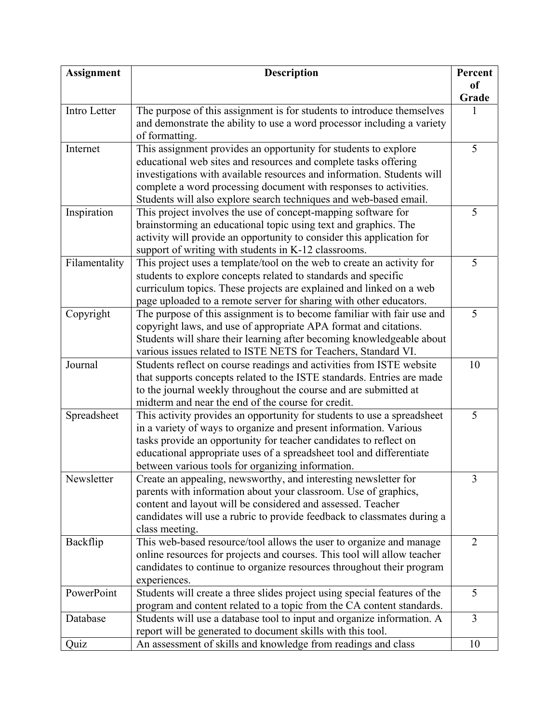| <b>Assignment</b> | <b>Description</b>                                                        | Percent       |
|-------------------|---------------------------------------------------------------------------|---------------|
|                   |                                                                           | <sub>of</sub> |
|                   |                                                                           | Grade         |
| Intro Letter      | The purpose of this assignment is for students to introduce themselves    |               |
|                   | and demonstrate the ability to use a word processor including a variety   |               |
|                   | of formatting.                                                            |               |
| Internet          | This assignment provides an opportunity for students to explore           | 5             |
|                   | educational web sites and resources and complete tasks offering           |               |
|                   | investigations with available resources and information. Students will    |               |
|                   | complete a word processing document with responses to activities.         |               |
|                   | Students will also explore search techniques and web-based email.         |               |
| Inspiration       | This project involves the use of concept-mapping software for             | 5             |
|                   | brainstorming an educational topic using text and graphics. The           |               |
|                   | activity will provide an opportunity to consider this application for     |               |
|                   | support of writing with students in K-12 classrooms.                      |               |
| Filamentality     | This project uses a template/tool on the web to create an activity for    | 5             |
|                   | students to explore concepts related to standards and specific            |               |
|                   | curriculum topics. These projects are explained and linked on a web       |               |
|                   | page uploaded to a remote server for sharing with other educators.        |               |
| Copyright         | The purpose of this assignment is to become familiar with fair use and    | 5             |
|                   | copyright laws, and use of appropriate APA format and citations.          |               |
|                   | Students will share their learning after becoming knowledgeable about     |               |
|                   | various issues related to ISTE NETS for Teachers, Standard VI.            |               |
| Journal           | Students reflect on course readings and activities from ISTE website      | 10            |
|                   | that supports concepts related to the ISTE standards. Entries are made    |               |
|                   | to the journal weekly throughout the course and are submitted at          |               |
|                   | midterm and near the end of the course for credit.                        |               |
| Spreadsheet       | This activity provides an opportunity for students to use a spreadsheet   | 5             |
|                   | in a variety of ways to organize and present information. Various         |               |
|                   | tasks provide an opportunity for teacher candidates to reflect on         |               |
|                   | educational appropriate uses of a spreadsheet tool and differentiate      |               |
|                   | between various tools for organizing information.                         |               |
| Newsletter        | Create an appealing, newsworthy, and interesting newsletter for           | 3             |
|                   | parents with information about your classroom. Use of graphics,           |               |
|                   | content and layout will be considered and assessed. Teacher               |               |
|                   | candidates will use a rubric to provide feedback to classmates during a   |               |
|                   | class meeting.                                                            |               |
| Backflip          | This web-based resource/tool allows the user to organize and manage       | 2             |
|                   | online resources for projects and courses. This tool will allow teacher   |               |
|                   | candidates to continue to organize resources throughout their program     |               |
|                   | experiences.                                                              |               |
| PowerPoint        | Students will create a three slides project using special features of the | 5             |
|                   | program and content related to a topic from the CA content standards.     |               |
| Database          | Students will use a database tool to input and organize information. A    | 3             |
|                   | report will be generated to document skills with this tool.               |               |
| Quiz              | An assessment of skills and knowledge from readings and class             | 10            |